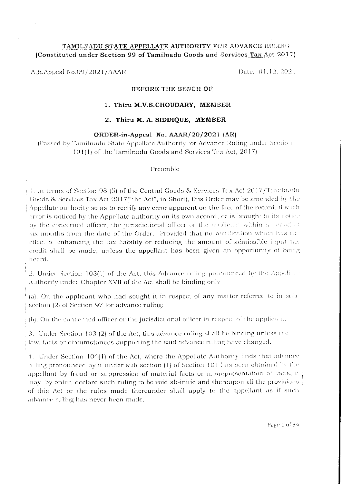# TAMILNADU STATE APPELLATE AUTHORITY FOR ADVANCE RULING (Constituted under Section 99 of Tamilnadu Goods and Services Tax Act 2017)

## A.R.Appeal No.09/2021/AAAR

Date: 01.12.2021

#### BEFORE THE BENCH OF

#### 1. Thiru M.V.S.CHOUDARY, MEMBER

#### 2. Thiru M. A. SIDDIQUE, MEMBER

#### ORDER-in-Appeal No. AAAR/20/2021 (AR)

(Passed by Tamilnadu State Appellate Authority for Advance Ruling under Section 101(1) of the Tamilnadu Goods and Services Tax Act, 2017)

# Preamble

 $+1$ . In terms of Section 98 (5) of the Central Goods & Services Tax Act 2017/Tamilnadu Goods & Services Tax Act 2017("the Act", in Short), this Order may be amended by the Appellate authority so as to rectify any error apparent on the face of the record, if such error is noticed by the Appellate authority on its own accord, or is brought to its notice by the concerned officer, the jurisdictional officer or the applicant within a period of six months from the date of the Order. Provided that no rectification which has the effect of enhancing the tax liability or reducing the amount of admissible input tax credit shall be made, unless the appellant has been given an opportunity of being heard.

2. Under Section 103(1) of the Act, this Advance ruling pronounced by the Appellate Authority under Chapter XVII of the Act shall be binding only

(a). On the applicant who had sought it in respect of any matter referred to in sub section (2) of Section 97 for advance ruling;

(b). On the concerned officer or the jurisdictional officer in respect of the applicant.

3. Under Section 103 (2) of the Act, this advance ruling shall be binding unless the law, facts or circumstances supporting the said advance ruling have changed.

4. Under Section 104(1) of the Act, where the Appellate Authority finds that advance ruling pronounced by it under sub-section (1) of Section 101 has been obtained by the appellant by fraud or suppression of material facts or misrepresentation of facts, it may, by order, declare such ruling to be void sb-initio and thereupon all the provisions of this Act or the rules made thereunder shall apply to the appellant as if such advance ruling has never been made.

Page 1 of 34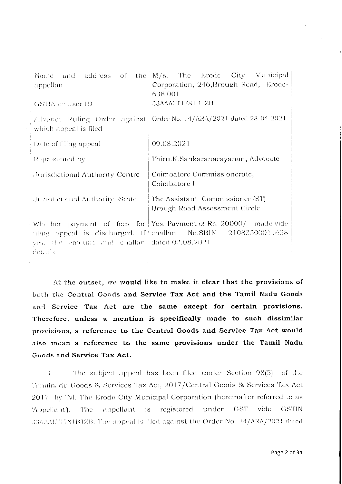| Name and address of the                                                                          | M/s. The Erode City Municipal                                                                                                      |  |  |  |
|--------------------------------------------------------------------------------------------------|------------------------------------------------------------------------------------------------------------------------------------|--|--|--|
| ' appellant.                                                                                     | Corporation, 246, Brough Road, Erode-                                                                                              |  |  |  |
|                                                                                                  | 638 001                                                                                                                            |  |  |  |
| <b>GSTIN</b> or User ID                                                                          | 33AAALT1781B1ZB                                                                                                                    |  |  |  |
| . Advance Ruling Order against   Order No. 14/ARA/2021 dated 28-04-2021<br>which appeal is filed |                                                                                                                                    |  |  |  |
| Date of filing appeal                                                                            | 09.08.2021                                                                                                                         |  |  |  |
| - Represented by                                                                                 | Thiru.K.Sankaranarayanan, Advocate                                                                                                 |  |  |  |
| Jurisdictional Authority-Centre                                                                  | Coimbatore Commissionerate,<br>Coimbatore I                                                                                        |  |  |  |
| Jurisdictional Authority -State                                                                  | The Assistant Commissioner (ST)<br>Brough Road Assessment Circle                                                                   |  |  |  |
| yes, the amount and challan dated 02.08.2021<br>details                                          | Whether payment of fees for Yes. Payment of Rs. 20000/ made vide<br>filing appeal is discharged. If challan No.SBIN 21083300011638 |  |  |  |
|                                                                                                  |                                                                                                                                    |  |  |  |

At the outset, we would like to make it clear that the provisions of both the Central Goods and Service Tax Act and the Tamil Nadu Goods and Service Tax Act are the same except for certain provisions. Therefore, unless a mention is specifically made to such dissimilar provisions, a reference to the Central Goods and Service Tax Act would also mean a reference to the same provisions under the Tamil Nadu Goods and Service Tax Act.

The subject appeal has been filed under Section 98(5) of the  $\mathbf{L}$ Tamilnadu Goods & Services Tax Act, 2017/Central Goods & Services Tax Act 2017 by Tvl. The Erode City Municipal Corporation (hereinafter referred to as 'Appellant'). The appellant is registered under GST vide **GSTIN** B3AAALT1781B1ZB. The appeal is filed against the Order No. 14/ARA/2021 dated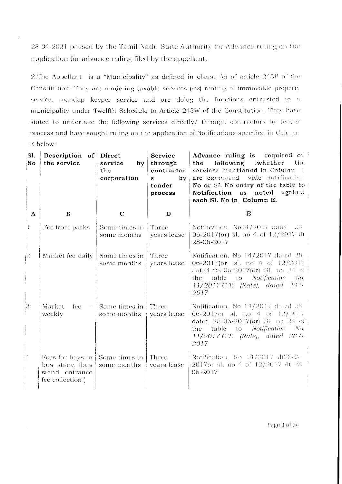28-04-2021 passed by the Tamil Nadu State Authority for Advance ruling on the application for advance ruling filed by the appellant.

2. The Appellant is a "Municipality" as defined in clause (c) of article 243P of the Constitution. They are rendering taxable services (viz) renting of immovable property service, mandap keeper service and are doing the functions entrusted to a municipality under Twelfth Schedule to Article 243W of the Constitution. They have stated to undertake the following services directly/ through contractors by tender process and have sought ruling on the application of Notifications specified in Column E below:

| Sl.<br>No | Description of Direct<br>the service                                                   | service<br>the<br>corporation                        | Service<br>$by$ through<br>contractor<br>by <sub>1</sub><br>S<br>tender<br>process | Advance ruling is required or<br>following .whether the<br>the<br>services mentioned in Column 1:<br>are exempted vide Notification.<br>No or SL No entry of the table to<br>Notification<br>as noted against<br>each Sl. No in Column E. |
|-----------|----------------------------------------------------------------------------------------|------------------------------------------------------|------------------------------------------------------------------------------------|-------------------------------------------------------------------------------------------------------------------------------------------------------------------------------------------------------------------------------------------|
| $\Lambda$ | $\bf{B}$                                                                               | $\mathbf C$                                          | D                                                                                  | E                                                                                                                                                                                                                                         |
|           | Fee from parks.                                                                        | Some times in $\pm$ Three<br>some months             | years lease                                                                        | Notification, $N_014/2017$ dated $26$<br>06-2017(or) sl. no 4 of $12/2017$ dt.<br>28-06-2017                                                                                                                                              |
| 22        | Market fee-daily                                                                       | Some times in<br>some months                         | Three<br>years lease                                                               | Notification. No 14/2017 dated 28<br>06-2017(or) sl. no 4 of $12/2017$<br>dated $28-06-2017$ (or) SL no $24$ of<br>table to <i>Notification</i> No.<br>the.<br>$11/2017$ C.T. (Rate), dated 28.6<br>2017                                  |
| -3        | Market<br>fee<br>weekly                                                                | $-$ Some times in Three<br>some months   years lease |                                                                                    | Notification. No $14/2017$ dated $38$ .<br>06-2017 or sl. no $4$ of $12/100$<br>dated $28-06-2017$ (or) Sl. no $24$ of<br>table to <i>Notification</i> No.<br>the -<br>$11/2017$ C.T. (Rate), dated 28.6.<br>2017                         |
| ់រុ       | Fees for bays in Some times in<br>bus stand (bus<br>stand entrance<br>fee collection ) | some months                                          | Three<br>years lease                                                               | Notification, No $14/2017$ dt $28-0$ .<br>2017or sl. no 4 of 12/2017 dt 28<br>06-2017                                                                                                                                                     |

Page 3 of 34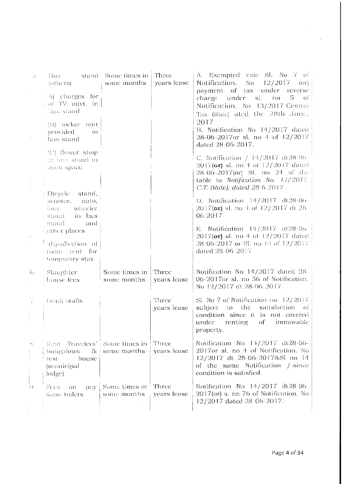| э.                       | . Bus in the<br>(others)                                                             | stand Some times in   Three<br>$\sim$ some months      | years lease                      | A. Exempted vide Sl. No 7 of:<br>Notification. No 12/2017<br>(0r)                                                                                                        |
|--------------------------|--------------------------------------------------------------------------------------|--------------------------------------------------------|----------------------------------|--------------------------------------------------------------------------------------------------------------------------------------------------------------------------|
| $\mathcal{I}_\mathrm{c}$ | $A$ charges for<br>of TV advt. in<br>bus stand                                       |                                                        |                                  | payment of tax under reverse<br>charge under sl. no 5<br>$=$ of $\vdash$<br>Notification. No 13/2017 Central<br>Tax (Rate) ated the 28th June,                           |
|                          | $(B)$ locker rent<br>provided<br>in<br>bus stand                                     |                                                        |                                  | 2017<br>B. Notification No 14/2017 dated<br>28-06-2017 or sl. no 4 of 12/2017<br>dated 28-06-2017.                                                                       |
|                          | $^{+}$ (C) flower shop :<br>in bus stand in<br>горен врасс                           |                                                        |                                  | C. Notification $/$ 14/2017 dt28-06 $\cdot$<br>2017(or) sl. no 4 of 12/2017 dated<br>28.06-2017(or) Sl. no 24 of the<br>table to Notification No. 11/2017                |
|                          | Devele stand,                                                                        |                                                        |                                  | C.T. (Rate), dated 28 6 2017                                                                                                                                             |
|                          | scooter, auto,<br>four wheeler<br>i stand – in bus<br>and<br>stand                   |                                                        |                                  | D. Notification $14/2017$ dt28-06<br>2017(or) sl. no 4 of 12/2017 dt 28<br>06-2017                                                                                       |
|                          | cother places                                                                        |                                                        |                                  | E. Notification $14/2017$ dt28-06-1<br>$2017$ (or) sl. no 4 of $12/2017$ dated                                                                                           |
|                          | (E)collection of<br>room rent for<br>temporary stay                                  |                                                        |                                  | 28-06-2017 or SL no 14 of 12/2017<br>dated 28-06-2017                                                                                                                    |
| k)                       | Slaughter<br>house fees                                                              | Some times in<br>some months                           | Three<br>years lease             | Notification No 14/2017 dated 28-<br>06-2017 or sl. no 56 of Notification.<br>No 12/2017 dt 28-06 2017.                                                                  |
|                          | <b>Bunk</b> stalls                                                                   |                                                        | Three<br>years lease             | Sl. No 7 of Notification no $12/2017$<br>subject to the satisfaction of<br>condition since it is not covered<br>under renting of immovable<br>property.                  |
| Ą,                       | Rent Travelers' Some times in<br>bungalows<br>house<br>rest.<br>(municipal<br>lodge) | $\&$ some months                                       | $\parallel$ Three<br>years lease | Notification No 14/2017 dt28-06-<br>2017or sl. no 4 of Notification. No<br>12/2017 dt 28-06-2017&Sl no 14<br>of the same Notification /-since<br>condition is satisfied. |
| i<br>9                   | Fees<br>OII<br>&use toilets                                                          | pay $\vert$ Some times in $\vert$ Three<br>some months | : years lease                    | Notification No 14/2017 dt28-06<br>2017(or) s. no 76 of Notification. No<br>12/2017 dated 28-06-2017.                                                                    |

 $\hat{u}$  .

 $\bar{\beta}$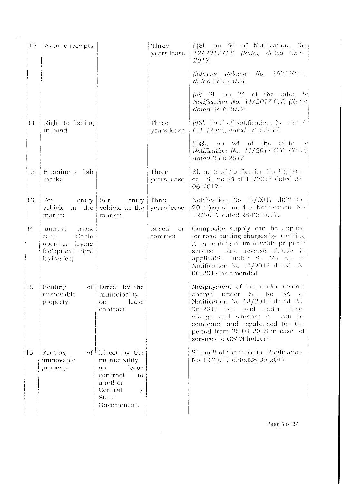| I O           | Avenue receipts                                                                          |                                                                                                                           | Three<br>years lease | (i) Sl. no $54$ of Notification. No<br>$12/2017$ C.T. (Rate), dated 28.6<br>2017.                                                                                                                                                                                                                     |
|---------------|------------------------------------------------------------------------------------------|---------------------------------------------------------------------------------------------------------------------------|----------------------|-------------------------------------------------------------------------------------------------------------------------------------------------------------------------------------------------------------------------------------------------------------------------------------------------------|
|               |                                                                                          |                                                                                                                           |                      | $(ii) Press-Release-No. -162/201\%$ .<br>dated 28 5 2018.                                                                                                                                                                                                                                             |
|               |                                                                                          |                                                                                                                           |                      | (iii) Sl. no 24 of the table to<br>Notification No. 11/2017 C.T. (Rate).<br>dated 28 6-2017.                                                                                                                                                                                                          |
| $\perp$       | Right to fishing<br>in bond                                                              |                                                                                                                           | Three                | [i)SI. No $5$ of Notification. No $12/266$<br>years lease $\therefore$ C.T. (Rate), dated 28.6.2017.                                                                                                                                                                                                  |
|               |                                                                                          |                                                                                                                           |                      | $24$ of the table to<br>$(ii)$ Sl.<br>$\overline{D}$<br>Notification No. 11/2017 C.T. (Rate).<br>dated 28-6-2017                                                                                                                                                                                      |
| $\frac{1}{2}$ | Running a fish<br>market                                                                 |                                                                                                                           | Three<br>years lease | SI, no 5 of Notification No $12/2017$<br>or SI, no 24 of $11/2017$ dated 28<br>06-2017.                                                                                                                                                                                                               |
| 13            | For<br>$entry \mid For$<br>vehicle<br>market                                             | cntry<br>in the vehicle in the<br>market                                                                                  | Three<br>years lease | Notification No $14/2017$ dt28.05<br>$2017$ (or) sl. no 4 of Notification. No<br>12/2017 dated 28-06 2017.                                                                                                                                                                                            |
| 414           | track<br>annual<br>-Cable<br>rent<br>operator laying<br>fee(optical fibre<br>laving fee) |                                                                                                                           | Based<br>contract    | on Composite supply can be applied<br>for road cutting charges by treating<br>it as renting of immovable property.<br>and reverse charge is<br>service<br>applicable under Sl. No SA of<br>Notification No 13/2017 dated 28<br>$06 - 2017$ as amended                                                 |
| 15            | <b>Renting</b><br>immovable<br>property                                                  | of Direct by the<br>municipality<br>lease.<br>on.<br>contract                                                             |                      | Nonpayment of tax under reverse<br>under S.I<br>No -<br>$\Delta G$<br>charge<br>$\Omega$<br>Notification No 13/2017 dated 28<br>06-2017 but paid under direct<br>charge and whether it<br>can be<br>condoned and regularised for the<br>period from 25-01-2018 in case of<br>services to GSTN holders |
| 16.           | Renting<br>immovable<br>property                                                         | of $\vdash$ Direct by the<br>municipality<br>lease<br>on.<br>contract<br>to<br>another<br>Central<br>State<br>Government. |                      | Sl. no 8 of the table to Notification.<br>No 12/2017 dated 28 06 - 2017                                                                                                                                                                                                                               |

 $\mathcal{L}^{\text{max}}_{\text{max}}$ 

 $\mathcal{A}$ 

Page 5 of 34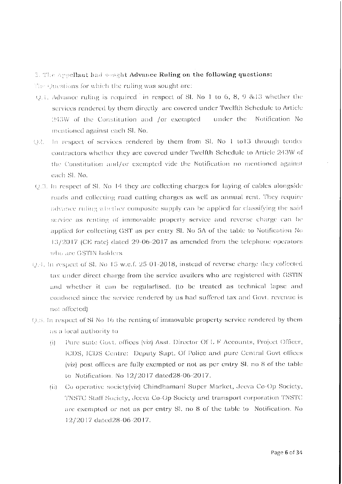# 3. The Appellant had sought Advance Ruling on the following questions:

The Questions for which the ruling was sought are:

- Q.1. Advance ruling is required in respect of SI. No 1 to 6, 8, 9 & 13 whether the services rendered by them directly are covered under Twelfth Schedule to Article 243W of the Constitution and /or exempted under the Notification No mentioned against each Sl. No.
- Q2. In respect of services rendered by them from Sl. No 1 to13 through tender contractors whether they are covered under Twelfth Schedule to Article 243W of the Constitution and/or exempted vide the Notification no mentioned against cach Sl. No.
- Q.3. In respect of Sl. No 14 they are collecting charges for laying of cables alongside roads and collecting road cutting charges as well as annual rent. They require advance ruling whether composite supply can be applied for classifying the said service as renting of immovable property service and reverse charge can be applied for collecting GST as per entry Sl. No 5A of the table to Notification No 13/2017 (CE rate) dated 29-06-2017 as amended from the telephone operators who are GSTIN holders.
- Q.4. In respect of SI. No. 15 w.e.f. 25-01-2018, instead of reverse charge they collected tax under direct charge from the service availers who are registered with GSTIN and whether it can be regularlised. (to be treated as technical lapse and condoned since the service rendered by us had suffered tax and Govt. revenue is not affected).
- 0.5. In respect of SI No 16 the renting of immovable property service rendered by them as a local authority to
	- Pure state Govt. offices (viz) Asst. Director Of L F Accounts, Project Officer,  $(i)$ ICDS, ICDS Centre: Deputy Supt. Of Police and pure Central Govt offices (viz) post offices are fully exempted or not as per entry Sl. no 8 of the table to Notification. No 12/2017 dated 28-06-2017.
	- Co operative society(viz) Chindhamani Super Market, Jeeva Co-Op Society,  $(i)$ TNSTC Staff Society, Jeeva Co-Op Society and transport corporation TNSTC are exempted or not as per entry Sl. no 8 of the table to Notification. No 12/2017 dated 28-06-2017.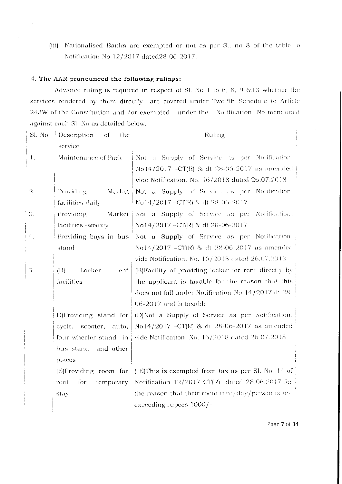(iii) Nationalised Banks are exempted or not as per Sl. no 8 of the table to Notification No 12/2017 dated28-06-2017.

# 4. The AAR pronounced the following rulings:

Advance ruling is required in respect of Sl. No 1 to 6, 8, 9 & 13 whether the services rendered by them directly are covered under Twelfth Schedule to Article 243W of the Constitution and /or exempted under the Notification. No mentioned against each Sl. No as detailed below.

| Sl. No                | Description<br>the<br>– of | Ruling                                                        |  |  |
|-----------------------|----------------------------|---------------------------------------------------------------|--|--|
|                       | service                    |                                                               |  |  |
| Ι.                    | Maintenance of Park        | Not a Supply of Service as per Notification.                  |  |  |
|                       |                            | No14/2017 - CT(R) & dt 28-06-2017 as amended                  |  |  |
|                       |                            | vide Notification. No. 16/2018 dated 26.07.2018               |  |  |
| $\Omega$ .            | Providing<br>Market        | Not a Supply of Service as per Notification.                  |  |  |
|                       | facilities daily           | No14/2017-CT(R) & dt 28 06 2017                               |  |  |
| 3.                    | Providing<br>Market        | Not a Supply of Service as per Notification.                  |  |  |
|                       | facilities -weekly         | No14/2017 - CT(R) & dt 28-06-2017                             |  |  |
| $\mathcal{A}_{\perp}$ | Providing bays in bus      | Not a Supply of Service as per Notification.                  |  |  |
|                       | stand                      | No14/2017 –CT(R) & dt 28-06-2017 as amended                   |  |  |
|                       |                            | vide Notification. No. 16/2018 dated 26.07.2018               |  |  |
| 5.                    | (H)<br>Locker<br>rent      | (B)Facility of providing locker for rent directly by          |  |  |
|                       | facilities                 | the applicant is taxable for the reason that this             |  |  |
|                       |                            | does not fall under Notification No 14/2017 dt 28             |  |  |
|                       |                            | 06-2017 and is taxable                                        |  |  |
|                       | D)Providing stand for      | (D)Not a Supply of Service as per Notification.               |  |  |
|                       | cycle, scooter, auto,      | No14/2017 -CT(R) & dt 28-06-2017 as amended                   |  |  |
|                       | four wheeler stand in      | vide Notification. No. 16/2018 dated 26.07.2018               |  |  |
|                       | bus stand and other        |                                                               |  |  |
|                       | places                     |                                                               |  |  |
|                       | $(E)$ Providing room for   | (E)This is exempted from tax as per SI. No. 14 of             |  |  |
|                       | tor<br>rent                | temporary   Notification $12/2017$ CT(R) dated 28.06.2017 for |  |  |
|                       | stay                       | the reason that their room rent/day/person is not             |  |  |
|                       |                            | exceeding rupees 1000/-                                       |  |  |
|                       |                            |                                                               |  |  |

Page 7 of 34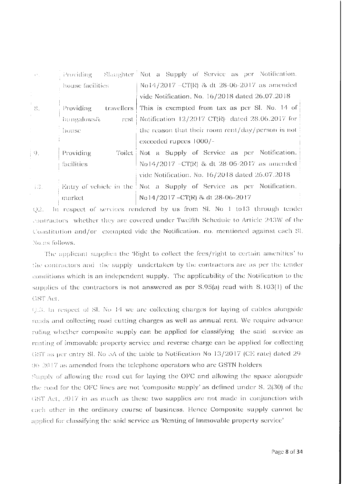| $\chi N_{\rm eff}$                     | Providing        | Slaughter <sup>1</sup> Not a Supply of Service as per Notification.  |
|----------------------------------------|------------------|----------------------------------------------------------------------|
|                                        | house facilities | No14/2017 - CT(R) & dt 28-06-2017 as amended                         |
|                                        |                  | vide Notification. No. 16/2018 dated 26.07.2018                      |
| - 8.                                   | Providing        | travellers   This is exempted from tax as per Sl. No. 14 of          |
| $\mathcal{A}^{\mathcal{A}}$            | bungalows&       | rest   Notification $12/2017$ CT(R) dated 28.06.2017 for             |
|                                        | house.           | the reason that their room rent/day/person is not                    |
|                                        |                  | exceeded rupees 1000/-                                               |
| $\begin{bmatrix} 0 \\ 0 \end{bmatrix}$ | Providing        | Toilet   Not a Supply of Service as per Notification.                |
|                                        | facilities       | No 14/2017 - CT(R) & dt 28-06-2017 as amended                        |
|                                        |                  | vide Notification. No. 16/2018 dated 26.07.2018                      |
| $-43.$                                 |                  | Entry of vehicle in the Not a Supply of Service as per Notification. |
|                                        | market           | No 14/2017 – CT(R) & dt 28-06-2017                                   |

Q2. In respect of services rendered by us from Sl. No 1 to13 through tender contractors whether they are covered under Twelfth Schedule to Article 243W of the Constitution and/or exempted vide the Notification, no. mentioned against cach Sl. No as follows.

The applicant supplies the 'Right to collect the fees/right to certain amenities' to the contractors and the supply undertaken by the contractors are as per the tender conditions which is an independent supply. The applicability of the Notification to the supplies of the contractors is not answered as per S.95(a) read with S.103(1) of the GST Act.

Q.3. In respect of Sl. No 14 we are collecting charges for laying of cables alongside roads and collecting road cutting charges as well as annual rent. We require advance ruling whether composite supply can be applied for classifying the said service as renting of immovable property service and reverse charge can be applied for collecting GST as per entry Sl. No 5A of the table to Notification No 13/2017 (CE rate) dated 29 06/2017 as amended from the telephone operators who are GSTN holders

Supply of allowing the road cut for laying the OFC and allowing the space alongside the road for the OFC lines are not 'composite supply' as defined under S. 2(30) of the GST Act, 2017 in as much as these two supplies are not made in conjunction with each other in the ordinary course of business. Hence Composite supply cannot be applied for classifying the said service as 'Renting of Immovable property service'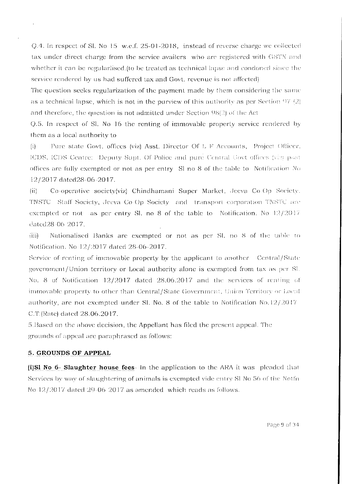Q.4. In respect of Sl. No 15 w.e.f. 25-01-2018, instead of reverse charge we collected tax under direct charge from the service availers who are registered with GSTN and whether it can be regularlised (to be treated as technical lapse and condoned since the service rendered by us had suffered tax and Govt, revenue is not affected)

The question seeks regularization of the payment made by them considering the same as a technical lapse, which is not in the purview of this authority as per Section  $97(2)$ and therefore, the question is not admitted under Section  $98(2)$  of the Act

Q.5. In respect of Sl. No 16 the renting of immovable property service rendered by them as a local authority to

Pure state Govt. offices (viz) Asst. Director Of L F Accounts, Project Officer,  $(i)$ ICDS, ICDS Centre: Deputy Supt. Of Police and pure Central Govt offices (viz) postoffices are fully exempted or not as per entry. Sl no 8 of the table to. Notification No 12/2017 dated28-06-2017.

Co-operative society(viz) Chindhamani Super Market, Jeeva Co-Op Society.  $(ii)$ TNSTC Staff Society, Jeeva Co-Op Society and transport corporation TNSTC are exempted or not as per entry SI, no 8 of the table to Notification. No  $12/2017$ dated28-06-2017.

 $(iii)$ Nationalised Banks are exempted or not as per Sl. no 8 of the table to Notification. No 12/2017 dated 28-06-2017.

Service of renting of immovable property by the applicant to another Central/State government/Union territory or Local authority alone is exempted from tax as per Sl. No. 8 of Notification 12/2017 dated 28.06.2017 and the services of renting of immovable property to other than Central/State Government, Union Territory or Local authority, are not exempted under Sl. No. 8 of the table to Notification  $No.12/2017$ C.T.(Rate) dated 28.06.2017.

5. Based on the above decision, the Appellant has filed the present appeal. The grounds of appeal are paraphrased as follows:

# 5. GROUNDS OF APPEAL

(i)S1 No 6- Slaughter house fees- In the application to the ARA it was pleaded that Services by way of slaughtering of animals is exempted vide entry SI No 56 of the Notfn No 12/2017 dated 29-06-2017 as amended which reads as follows.

Page 9 of 34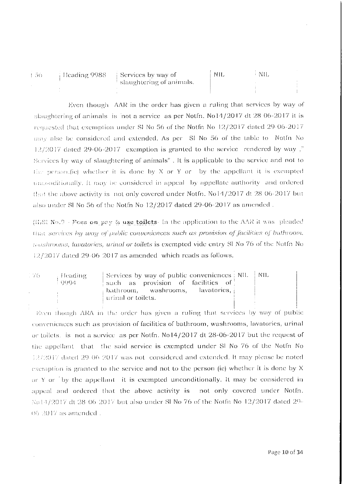| - 56 | - Heading 9988 – | $\Box$ Services by way of | -NIL | -NIL |  |
|------|------------------|---------------------------|------|------|--|
|      |                  | slaughtering of animals.  |      |      |  |
|      |                  |                           |      |      |  |

Even though. AAR in the order has given a ruling that services by way of slaughtering of animals is not a service as per Notfn. No14/2017 dt 28 06-2017 it is requested that exemption under SI No 56 of the Notfn No 12/2017 dated 29-06-2017 may also be considered and extended. As per SI No 56 of the table to Notfn No  $12/2017$  dated 29-06-2017 exemption is granted to the service rendered by way," Services by way of slaughtering of animals". It is applicable to the service and not to the person. (ie) whether it is done by X or Y or by the appellant it is exempted unconditionally. It may be considered in appeal by appellate authority and ordered that the above activity is not only covered under Notfn. No14/2017 dt 28 06-2017 but also under SI No 56 of the Notfn No  $12/2017$  dated  $29-06-2017$  as amended.

(ii) Sl No.9 - Fees on pay & use toilets- In the application to the AAR it was pleaded that services by way of public conveniences such as provision of facilities of buthroom, toushrooms, lavatories, urinal or toilets is exempted vide entry SI No 76 of the Notfn No  $12/2017$  dated 29-06-2017 as amended which reads as follows.

| - 76 - | – Heading<br>1.0994 | Services by way of public conveniences : NIL $\parallel$ NIL<br>such as provision of facilities of |  |
|--------|---------------------|----------------------------------------------------------------------------------------------------|--|
|        |                     | — lavatories, a<br>; bathroom,      washrooms,<br>  urinal or toilets.                             |  |

Even though ARA in the order has given a ruling that services by way of public conveniences such as provision of facilities of bathroom, washrooms, lavatories, urinal or toilets. is not a service as per Notfn. No14/2017 dt 28-06-2017 but the request of the appellant that the said service is exempted under SI No 76 of the Notfn No 12/2017 dated 29-06-2017 was not considered and extended. It may please be noted exemption is granted to the service and not to the person (ie) whether it is done by X or Y or by the appellant it is exempted unconditionally. It may be considered in appeal and ordered that the above activity is not only covered under Notfn. No14/2017 dt 28-06-2017 but also under Sl No 76 of the Notfn No 12/2017 dated 29-06/2017 as amended...

Page 10 of 34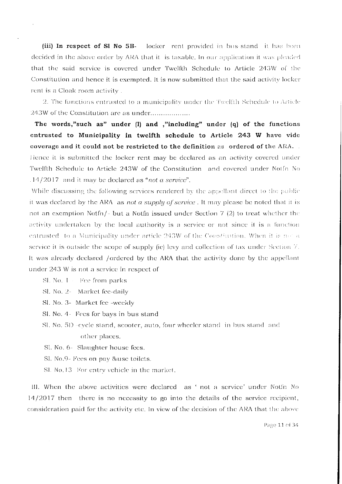(iii) In respect of SI No 5B- locker rent provided in bus stand it has been decided in the above order by ARA that it is taxable. In our application it was pleaded that the said service is covered under Twelfth Schedule to Article 243W of the Constitution and hence it is exempted. It is now submitted that the said activity locker rent is a Cloak room activity.

2. The functions entrusted to a municipality under the Twelfth Schedule to Article 243W of the Constitution are as under..................

The words,"such as" under (1) and ,"including" under (q) of the functions entrusted to Municipality in twelfth schedule to Article 243 W have vide coverage and it could not be restricted to the definition as ordered of the ARA... Hence it is submitted the locker rent may be declared as an activity covered under Twelfth Schedule to Article 243W of the Constitution and covered under Notfn No .14/2017 and it may be declared as "not a service".

While discussing the following services rendered by the appellant direct to the public it was declared by the ARA as not a supply of service. It may please be noted that it is not an exemption Notfn/- but a Notfn issued under Section 7 (2) to treat whether the activity undertaken by the local authority is a service or not since it is a function entrusted to a Municipality under article 243W of the Constitution. When it is not a service it is outside the scope of supply (ie) levy and collection of tax under Section  $7$ . It was already declared /ordered by the ARA that the activity done by the appellant under 243 W is not a service in respect of

- Sl. No. 1 Fee from parks
- Sl. No. 2- Market fee-daily
- Sl. No. 3- Market fee -weekly
- Sl. No. 4 Fees for bays in bus stand
- Sl. No. 5D -cycle stand, scooter, auto, four wheeler stand in bus stand and other places.
- Sl. No. 6- Slaughter house fees.
- Sl. No.9 Fees on pay &use toilets.
- SL No.13 For entry vehicle in the market.

III. When the above activities were declared as ' not a service' under Notfn No  $14/2017$  then there is no necessity to go into the details of the service recipient, consideration paid for the activity etc. In view of the decision of the ARA that the above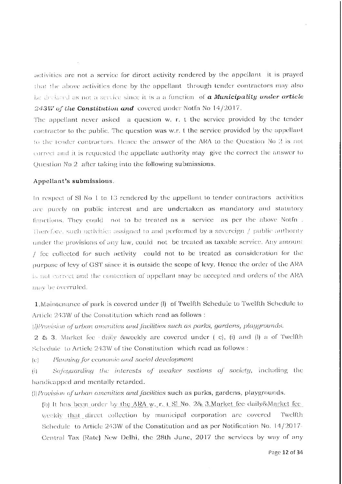activities are not a service for direct activity rendered by the appellant it is prayed that the above activities done by the appellant through tender contractors may also be declared as not a service since it is a a function of a Municipality under article 243W of the Constitution and covered under Notin No  $14/2017$ .

The appellant never asked a question w. r. t the service provided by the tender contractor to the public. The question was w.r. t the service provided by the appellant to the tender contractors. Hence the answer of the ARA to the Question No 2 is not correct and it is requested the appellate authority may give the correct the answer to Question No 2 after taking into the following submissions.

#### Appellant's submissions.

In respect of Sl No 1 to 13 rendered by the appellant to tender contractors activities are purely on public interest and are undertaken as mandatory and statutory functions. They could not to be treated as a service as per the above Notfn. Therefore, such activities assigned to and performed by a sovereign / public authority under the provisions of any law, could not be treated as taxable service. Any amount / fee collected for such activity could not to be treated as consideration for the purpose of levy of GST since it is outside the scope of levy. Hence the order of the ARA is not correct and the contention of appellant may be accepted and orders of the ARA may be overruled.

1. Maintenance of park is covered under (l) of Twelfth Schedule to Twelfth Schedule to Article 243W of the Constitution which read as follows:

(*[IProvision of urban amenities and facilities such as parks, gardens, playgrounds.* 

2 & 3. Market fee daily &weekly are covered under (c), (i) and (l) a of Twelfth Schedule to Article 243W of the Constitution which read as follows :

Planning for economic and social development  $|C|$ 

Safeguarding the interests of weaker sections of society, including the  $\left( i\right)$ handicapped and mentally retarded.

(I) Provision of urban amenities and facilities such as parks, gardens, playgrounds.

(b) It has been order by the ARA w. r. t SI No. 2& 3. Market fee-daily & Market feeweekly that direct collection by municipal corporation are covered Twelfth Schedule to Article  $243W$  of the Constitution and as per Notification No.  $14/2017$ -Central Tax (Rate) New Delhi, the 28th June, 2017 the services by way of any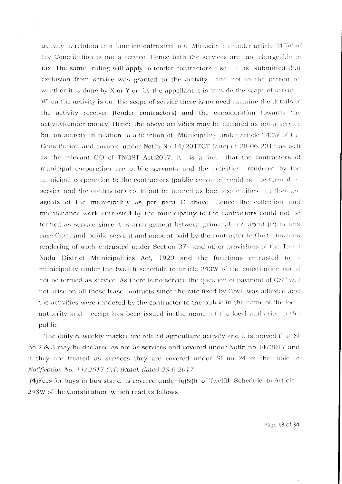activity in relation to a function entrusted to a Municipality under article 243W of the Constitution is not a service. Hence both the services are not chargeable to tax. The same ruling will apply to tender contractors also . It is submitted that exclusion from service was granted to the activity and not to the person ie) whether it is done by X or Y or by the appellant it is outside the scope of service. When the activity is out the scope of service there is no need examine the details of the activity receiver (tender contractors) and the consideration towards the activity (tender money). Hence the above activities may be declared as not a service but an activity in relation to a function of Municipality under article 243W of the Constitution and covered under Notfn No 14/2017CT (rate) dt 28-06-2017 as well as the relevant GO of TNGST Act, 2017. It is a fact that the contractors of municipal corporation are public servants and the activities rendered by the municipal corporation to the contractors (public servants) could not be termed as service and the contractors could not be termed as business entities but they are agents of the municipality as per para C above. Hence the collection and maintenance work entrusted by the municipality to the contractors could not be termed as service since it is arrangement between principal and agent (ie) in this case Govt. and public servant and amount paid by the contractor to Govt. towards rendering of work entrusted under Section 374 and other provisions of the Tamil Nadu District Municipalities Act, 1920 and the functions entrusted to a municipality under the twelfth schedule to article 243W of the constitution could not be termed as service. As there is no service the question of payment of GST will not arise on all those lease contracts since the rate fixed by Govt, was adopted and the activities were rendered by the contractor to the public in the name of the local authority and receipt has been issued in the name of the local authority to the public.

The daily & weekly market are related agriculture activity and it is prayed that SI no 2 & 3 may be declared as not as services and covered under Notfn no 14/2017 and if they are treated as services they are covered under SI no 24 of the table to Notification No. 11/2017 C.T. (Rate), dated 28 6 2017.

 $(4)$  Fees for bays in bus stand is covered under  $(q)$ &(1) of Twelfth Schedule to Article 243W of the Constitution which read as follows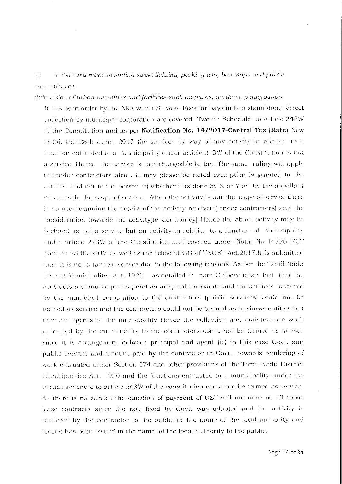#### Public amenities including street lighting, parking lots, bus stops and public  $\left\langle t\right\rangle$ conveniences.

(!)Provision of urban amenities and facilities such as parks, gardens, playgrounds.

It has been order by the ARA w. r. t SI No.4. Fees for bays in bus stand done direct collection by municipal corporation are covered. Twelfth Schedule, to Article 243W of the Constitution and as per Notification No. 14/2017-Central Tax (Rate) New belbi, the 28th June, 2017 the services by way of any activity in relation to a function entrusted to a Municipality under article 243W of the Constitution is not a service Hence the service is not chargeable to tax. The same ruling will apply to tender contractors also. It may please be noted exemption is granted to the activity and not to the person ie) whether it is done by X or Y or by the appellant it is outside the scope of service. When the activity is out the scope of service there is no need examine the details of the activity receiver (tender contractors) and the consideration towards the activity (tender money). Hence the above activity may be declared as not a service but an activity in relation to a function of Municipality under article 243W of the Constitution and covered under Notfn No 14/2017CT (rate) dt 28.06.2017 as well as the relevant GO of TNGST Act, 2017.It is submitted that it is not a taxable service due to the following reasons. As per the Tamil Nadu District Municipalites Act, 1920 as detailed in para C above it is a fact that the contractors of municipal corporation are public servants and the services rendered by the municipal corporation to the contractors (public servants) could not be termed as service and the contractors could not be termed as business entities but they are agents of the municipality Hence the collection and maintenance work entrusted by the municipality to the contractors could not be termed as service since it is arrangement between principal and agent (ie) in this case Govt. and public servant and amount paid by the contractor to Govt. towards rendering of work entrusted under Section 374 and other provisions of the Tamil Nadu District Municipalities Act, 1920 and the functions entrusted to a municipality under the twelfth schedule to article 243W of the constitution could not be termed as service. As there is no service the question of payment of GST will not arise on all those lease contracts since the rate fixed by Govt. was adopted and the activity is rendered by the contractor to the public in the name of the local authority and receipt has been issued in the name of the local authority to the public.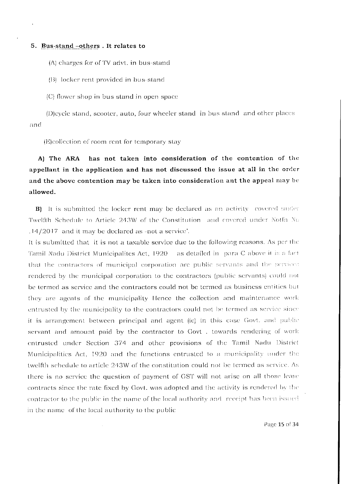## 5. Bus-stand -others. It relates to

(A) charges for of TV advt. in bus-stand

(B) locker rent provided in bus-stand

(C) flower shop in bus stand in open space

(D)cycle stand, scooter, auto, four wheeler stand in bus stand and other places and

(E)collection of room rent for temporary stay

has not taken into consideration of the contention of the A) The ARA appellant in the application and has not discussed the issue at all in the order and the above contention may be taken into consideration ant the appeal may be allowed.

B) It is submitted the locker rent may be declared as an activity covered under Twelfth Schedule to Article 243W of the Constitution and covered under Notfn No  $.14/2017$  and it may be declared as -not a service'.

It is submitted that it is not a taxable service due to the following reasons. As per the Tamil Nadu District Municipalites Act, 1920 - as detailed in para C above it is a fact that the contractors of municipal corporation are public servants and the services rendered by the municipal corporation to the contractors (public servants) could not be termed as service and the contractors could not be termed as business entities but they are agents of the municipality Hence the collection and maintenance work entrusted by the municipality to the contractors could not be termed as service since it is arrangement between principal and agent (ie) in this case Govt. and public servant and amount paid by the contractor to Govt , towards rendering of work entrusted under Section 374 and other provisions of the Tamil Nadu District Municipalities Act, 1920 and the functions entrusted to a municipality under the twelfth schedule to article 243W of the constitution could not be termed as service. As there is no service the question of payment of GST will not arise on all those lease contracts since the rate fixed by Govt, was adopted and the activity is rendered by the contractor to the public in the name of the local authority and receipt has been issued in the name of the local authority to the public

Page 15 of 34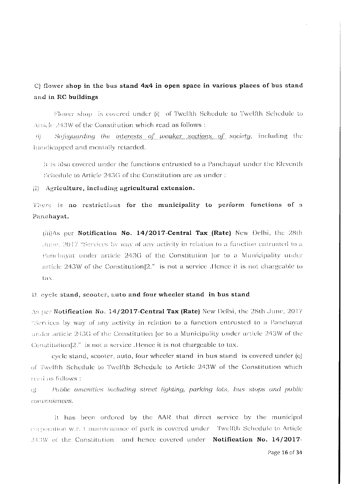# $\circ$  flower shop in the bus stand 4x4 in open space in various places of bus stand and in RC buildings

Flower shop is covered under (i) of Twelfth Schedule to Twelfth Schedule to Article 243W of the Constitution which read as follows :

Safequarding the interests of weaker sections of society, including the  $\langle ij \rangle$ handicapped and mentally retarded.

It is also covered under the functions entrusted to a Panchayat under the Eleventh Schedule to Article 243G of the Constitution are as under:

(i) Agriculture, including agricultural extension.

There is no restrictions for the municipality to perform functions of a Panchayat.

 $(iii)$ As per Notification No. 14/2017-Central Tax (Rate) New Delhi, the 28th June, 2017 "Services by way of any activity in relation to a function entrusted to a Panchayat under article 243G of the Constitution for to a Municipality under article  $243W$  of the Constitution $|2.$ " is not a service. Hence it is not chargeable to tax.

# D. eyele stand, scooter, auto and four wheeler stand in bus stand

As per Notification No. 14/2017-Central Tax (Rate) New Delhi, the 28th June, 2017 "Services by way of any activity in relation to a function entrusted to a Panchayat under article 243G of the Constitution for to a Municipality under article 243W of the Constitution<sup>[2,"</sup> is not a service. Hence it is not chargeable to tax.

evele stand, scooter, auto, four wheeler stand in bus stand is covered under (q) of Twelfth Schedule to Twelfth Schedule to Article 243W of the Constitution which read as follows:

Public amenities including street lighting, parking lots, bus stops and public  $\Omega$ conveniences.

It has been ordered by the AAR that direct service by the municipal corporation w.r. 1 maintenance of park is covered under Twelfth Schedule to Article 243W of the Constitution and hence covered under **Notification No. 14/2017-**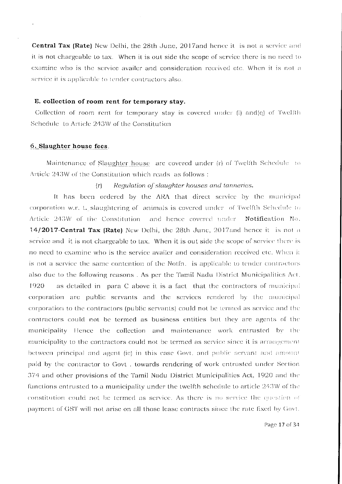Central Tax (Rate) New Delhi, the 28th June, 2017and hence it is not a service and it is not chargeable to tax. When it is out side the scope of service there is no need to examine who is the service availer and consideration received etc. When it is not a service it is applicable to tender contractors also.

#### E. collection of room rent for temporary stay.

Collection of room rent for temporary stay is covered under  $(1)$  and $(q)$  of Twelfth Schedule to Article 243W of the Constitution

# 6. Slaughter house fees.

 $\Delta$ 

Maintenance of Slaughter house are covered under (r) of Twelfth Schedule to Article 243W of the Constitution which reads as follows:

#### $(r)$ Regulation of slaughter houses and tanneries.

It has been ordered by the ARA that direct service by the municipal corporation w.r. t. slaughtering of animals is covered under of Twelfth Schedule to Article 243W of the Constitution and hence covered under Notification No. 14/2017-Central Tax (Rate) New Delhi, the 28th June, 2017and hence it is not a service and it is not chargeable to tax. When it is out side the scope of service there is no need to examine who is the service availer and consideration received etc. When it is not a service the same contention of the Notfn. is applicable to tender contractors also due to the following reasons. As per the Tamil Nadu District Municipalities Act. 1920 as detailed in para C above it is a fact that the contractors of municipal corporation are public servants and the services rendered by the municipal corporation to the contractors (public servants) could not be termed as service and the contractors could not be termed as business entities but they are agents of the municipality Hence the collection and maintenance work entrusted by the municipality to the contractors could not be termed as service since it is arrangement between principal and agent (ie) in this case Govt, and public servant and amount paid by the contractor to Govt. towards rendering of work entrusted under Section 374 and other provisions of the Tamil Nadu District Municipalities Act, 1920 and the functions entrusted to a municipality under the twelfth schedule to article 243W of the constitution could not be termed as service. As there is no service the question of payment of GST will not arise on all those lease contracts since the rate fixed by Govt.

Page 17 of 34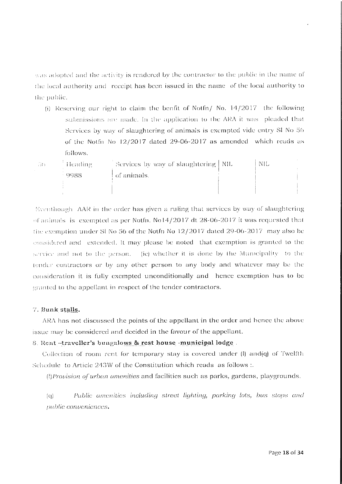was adopted and the activity is rendered by the contractor to the public in the name of the local authority and receipt has been issued in the name of the local authority to the public.

(i) Reserving our right to claim the benfit of Notfn/ No.  $14/2017$  the following submissions are made. In the application to the ARA it was pleaded that Services by way of slaughtering of animals is exempted vide entry SI No 56 of the Notfn No 12/2017 dated 29-06-2017 as amended which reads as follows.

| ាអ៊ែវ | Heading | Services by way of slaughtering   NIL | NIL. |  |
|-------|---------|---------------------------------------|------|--|
|       | -9988   | of animals.                           |      |  |
|       |         |                                       |      |  |

Eventhough. AAR in the order has given a ruling that services by way of slaughtering of animals is exempted as per Notfn. No14/2017 dt 28-06-2017 it was requested that the exemption under SI No 56 of the Notfn No 12/2017 dated 29-06-2017 may also be considered and extended. It may please be noted that exemption is granted to the service and not to the person. (ie) whether it is done by the Municipality to the tender contractors or by any other person to any body and whatever may be the consideration it is fully exempted unconditionally and hence exemption has to be granted to the appellant in respect of the tender contractors.

# 7. Bunk stalls.

ARA has not discussed the points of the appellant in the order and hence the above issue may be considered and decided in the favour of the appellant.

# 8. Rent-traveller's bungalows & rest house -municipal lodge.

Collection of room rent for temporary stay is covered under  $(l)$  and  $(q)$  of Twelfth Schedule to Article 243W of the Constitution which reads as follows :.

(!) *Provision of urban amenities* and facilities such as parks, gardens, playgrounds.

Public amenities including street lighting, parking lots, bus stops and  $(a)$ public conveniences.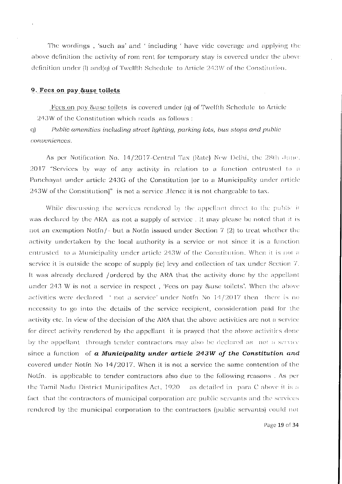The wordings, 'such as' and 'including ' have vide coverage and applying the above definition the activity of rom rent for temporary stay is covered under the above definition under  $\langle \mathbf{l} \rangle$  and  $\langle \mathbf{q} \rangle$  of Twelfth Schedule to Article 243W of the Constitution.

#### 9. Fees on pay &use toilets

Frees on pay & use toilets is covered under (q) of Twelfth Schedule to Article 243W of the Constitution which reads as follows:

 $\alpha$ Public amenities including street lighting, parking lots, bus stops and public conveniences.

As per Notification No. 14/2017-Central Tax (Rate) New Delhi, the 28th June, 2017 "Services by way of any activity in relation to a function entrusted to a Panchayat under article 243G of the Constitution Jor to a Municipality under article 243W of the Constitution]" is not a service. Hence it is not chargeable to tax.

While discussing the services rendered by the appellant direct to the public it was declared by the ARA as not a supply of service. It may please be noted that it is not an exemption Notfn/- but a Notfn issued under Section 7 (2) to treat whether the activity undertaken by the local authority is a service or not since it is a function entrusted to a Municipality under article 243W of the Constitution. When it is not a service it is outside the scope of supply (ie) levy and collection of tax under Section 7. It was already declared /ordered by the ARA that the activity done by the appellant under 243 W is not a service in respect, 'Fees on pay &use toilets'. When the above activities were declared  $\pm$  not a service' under Notfn No  $14/2017$  then there is no necessity to go into the details of the service recipient, consideration paid for the activity etc. In view of the decision of the ARA that the above activities are not a service for direct activity rendered by the appellant it is prayed that the above activities done by the appellant through tender contractors may also be declared as not a service since a function of a Municipality under article 243W of the Constitution and covered under Notfn No 14/2017. When it is not a service the same contention of the Notfn. is applicable to tender contractors also due to the following reasons. As per the Tamil Nadu District Municipalites Act, 1920 as detailed in para C above it is a fact that the contractors of municipal corporation are public servants and the services rendered by the municipal corporation to the contractors (public servants) could not

Page 19 of 34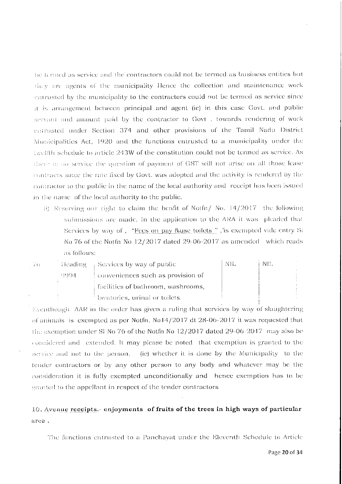be termed as service and the contractors could not be termed as business entities but they are agents of the municipality Hence the collection and maintenance work entrusted by the municipality to the contractors could not be termed as service since it is arrangement between principal and agent (ie) in this case Govt. and public servant and amount paid by the contractor to Govt , towards rendering of work entrusted under Section 374 and other provisions of the Tamil Nadu District Municipalities Act, 1920 and the functions entrusted to a municipality under the twelfth schedule to article 243W of the constitution could not be termed as service. As there is no service the question of payment of GST will not arise on all those lease contracts since the rate fixed by Govt, was adopted and the activity is rendered by the contractor to the public in the name of the local authority and receipt has been issued in the name of the local authority to the public.

(i) Reserving our right to claim the benfit of Notfn/ No.  $14/2017$  the following submissions are made. In the application to the ARA it was pleaded that Services by way of, "Fees on pay &use toilets", is exempted vide entry Si No 76 of the Notfn No  $12/2017$  dated 29-06-2017 as amended which reads as follows:

| Vo. |      | $\frac{1}{2}$ is the integral services by way of public | -NIL | NH. |
|-----|------|---------------------------------------------------------|------|-----|
|     | 0004 | $\pm$ conveniences such as provision of $\pm$           |      |     |
|     |      | facilities of bathroom, washrooms,                      |      |     |
|     |      | lavatories, urinal or toilets.                          |      |     |

Eventhough. AAR in the order has given a ruling that services by way of slaughtering of animals is exempted as per Notfn. No14/2017 dt 28-06-2017 it was requested that the exemption under SI No 76 of the Notfn No  $12/2017$  dated 29-06-2017 may also be considered and extended. It may please be noted that exemption is granted to the service and not to the person. (ie) whether it is done by the Municipality to the tender contractors or by any other person to any body and whatever may be the consideration it is fully exempted unconditionally and hence exemption has to be granted to the appellant in respect of the tender contractors

# 10. Avenue receipts.- enjoyments of fruits of the trees in high ways of particular area.

The functions entrusted to a Panchayat under the Eleventh Schedule to Article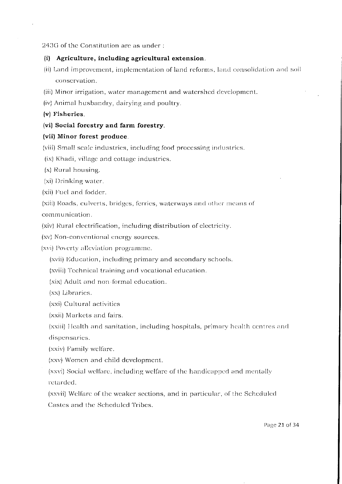#### 243G of the Constitution are as under:

#### (i) Agriculture, including agricultural extension.

- (ii) Land improvement, implementation of land reforms, land consolidation and soil conservation.
- (iii) Minor irrigation, water management and watershed development.
- (iv) Animal husbandry, dairying and poultry.
- (v) Fisheries.

# (vi) Social forestry and farm forestry.

## (vii) Minor forest produce.

- (viii) Small scale industries, including food processing industries.
- (ix) Khadi, village and cottage industries.
- $(x)$  Rural housing.
- (xi) Drinking water.
- (xii) Fuel and fodder.

(xiii) Roads, culverts, bridges, ferries, waterways and other means of communication.

(xiv) Rural electrification, including distribution of electricity.

(xv) Non-conventional energy sources.

(xvi) Poverty alleviation programme.

(xvii) Education, including primary and secondary schools.

(xviii) Technical training and vocational education.

(xix) Adult and non-formal education.

(xx) Libraries.

(xxi) Cultural activities

(xxii) Markets and fairs.

(xxiii) Health and sanitation, including hospitals, primary health centres and dispensaries.

(xxiv) Family welfare.

(xxv) Women and child development.

(xxvi) Social welfare, including welfare of the handicapped and mentally retarded.

(xxvii) Welfare of the weaker sections, and in particular, of the Scheduled Castes and the Scheduled Tribes.

Page 21 of 34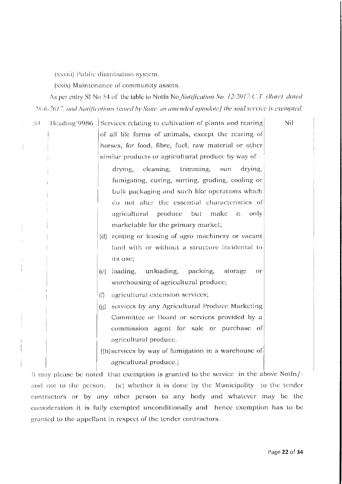(xxviii) Public distribution system.

(xxix) Maintenance of community assets.

As per entry SI No 54 of the table to Notfn No Notification No. 12/2017-C.T. (Rate), dated 28-6-2017, and Notifications issued by State as amended uptodate] the said service is exempted.

Nil 54 Heading 9986 Services relating to cultivation of plants and rearing of all life forms of animals, except the rearing of horses, for food, fibre, fucl, raw material or other similar products or agricultural produce by way of drving, cleaning, trimming. sun drying. fumigating, curing, sorting, grading, cooling or bulk packaging and such like operations which do not alter the essential characteristics of agricultural produce but make it -only marketable for the primary market; (d) renting or leasing of agro machinery or vacant land with or without a structure incidental to its use: unloading, packing,  $(c)$  loading, storage or warehousing of agricultural produce;  $($ f) agricultural extension services; (g) services by any Agricultural Produce Marketing Committee or Board or services provided by a commission agent for sale or purchase of agricultural produce.  $\vert$ (h) services by way of fumigation in a warehouse of agricultural produce.

It may please be noted that exemption is granted to the service in the above Notfn/and not to the person. (ie) whether it is done by the Municipality to the tender contractors or by any other person to any body and whatever may be the consideration it is fully exempted unconditionally and hence exemption has to be granted to the appellant in respect of the tender contractors.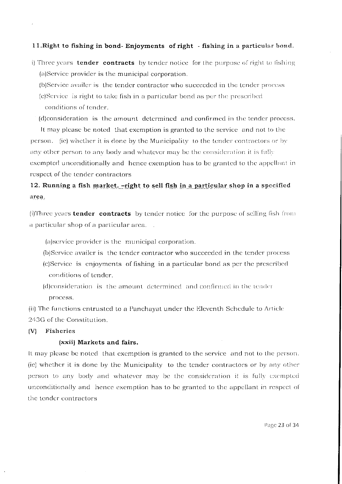## 11. Right to fishing in bond- Enjoyments of right - fishing in a particular bond.

- i) Three years **tender contracts** by tender notice for the purpose of right to fishing (a)Service provider is the municipal corporation.
	- (b)Service availer is the tender contractor who succeeded in the tender process
	- (c)Service is right to take fish in a particular bond as per the prescribed conditions of tender.
	- (d)consideration is the amount determined and confirmed in the tender process.

It may please be noted that exemption is granted to the service and not to the person. (ie) whether it is done by the Municipality to the tender contractors or by any other person to any body and whatever may be the consideration it is fully exempted unconditionally and hence exemption has to be granted to the appellant in respect of the tender contractors

# 12. Running a fish market. - right to sell fish in a particular shop in a specified area.

(i)Three years **tender contracts** by tender notice for the purpose of selling fish from a particular shop of a particular area...

(a) service provider is the municipal corporation.

- (b)Service availer is the tender contractor who succeeded in the tender process
- (c)Service is enjoyments of fishing in a particular bond as per the prescribed conditions of tender.
- (d)consideration is the amount determined and confirmed in the tender process.

(ii) The functions entrusted to a Panchayat under the Eleventh Schedule to Article 243G of the Constitution.

#### Fisheries  $|V|$

# (xxii) Markets and fairs.

It may please be noted that exemption is granted to the service and not to the person. (ic) whether it is done by the Municipality to the tender contractors or by any other person to any body and whatever may be the consideration it is fully exempted unconditionally and hence exemption has to be granted to the appellant in respect of the tender contractors

Page 23 of 34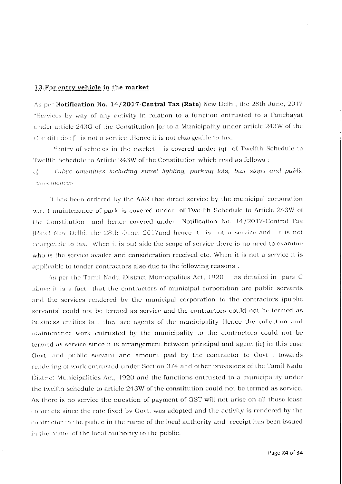#### 13. For entry vehicle in the market

As per Notification No. 14/2017-Central Tax (Rate) New Delhi, the 28th June, 2017 "Services by way of any activity in relation to a function entrusted to a Panchayat under article 243G of the Constitution for to a Municipality under article 243W of the Constitution]" is not a service. Hence it is not chargeable to tax.

"entry of vehicles in the market" is covered under (q) of Twelfth Schedule to Twelfth Schedule to Article 243W of the Constitution which read as follows :

Public amenities including street lighting, parking lots, bus stops and public  $\alpha$ conveniences.

It has been ordered by the AAR that direct service by the municipal corporation w.r. t maintenance of park is covered under of Twelfth Schedule to Article 243W of the Constitution and hence covered under Notification No. 14/2017-Central Tax (Rate) New Delhi, the 28th June, 2017and hence it is not a service and it is not chargeable to tax. When it is out side the scope of service there is no need to examine who is the service availer and consideration received etc. When it is not a service it is applicable to tender contractors also due to the following reasons.

As per the Tamil Nadu District Municipalites Act, 1920. as detailed in para C above it is a fact that the contractors of municipal corporation are public servants and the services rendered by the municipal corporation to the contractors (public servants) could not be termed as service and the contractors could not be termed as business entities but they are agents of the municipality Hence the collection and maintenance work entrusted by the municipality to the contractors could not be termed as service since it is arrangement between principal and agent (ie) in this case Govt. and public servant and amount paid by the contractor to Govt . towards rendering of work entrusted under Section 374 and other provisions of the Tamil Nadu District Municipalities Act, 1920 and the functions entrusted to a municipality under the twelfth schedule to article 243W of the constitution could not be termed as service. As there is no service the question of payment of GST will not arise on all those lease contracts since the rate fixed by Govt, was adopted and the activity is rendered by the contractor to the public in the name of the local authority and receipt has been issued in the name of the local authority to the public.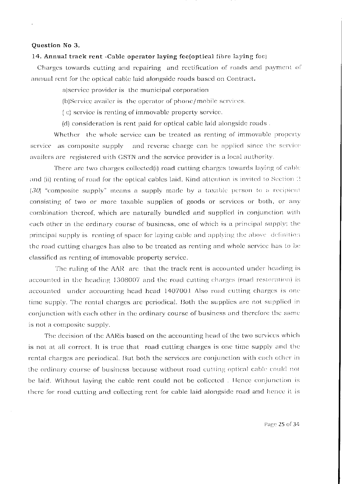# Question No 3.

#### 14. Annual track rent - Cable operator laying fee(optical fibre laying fee)

Charges towards cutting and repairing and rectification of roads and payment of annual rent for the optical cable laid alongside roads based on Contract.

a) service provider is the municipal corporation

(b)Service availer is the operator of phone/mobile services.

(c) service is renting of immovable property service.

(d) consideration is rent paid for optical cable laid alongside roads.

Whether the whole service can be treated as renting of immovable property service as composite supply and reverse charge can be applied since the service availers are registered with GSTN and the service provider is a local authority.

There are two charges collected(i) road cutting charges towards laying of cable and (ii) renting of road for the optical cables laid. Kind attention is invited to Section  $\Omega$ (30) "composite supply" means a supply made by a taxable person to a recipient consisting of two or more taxable supplies of goods or services or both, or any combination thereof, which are naturally bundled and supplied in conjunction with each other in the ordinary course of business, one of which is a principal supply; the principal supply is renting of space for laying cable and applying the above definition the road cutting charges has also to be treated as renting and whole service has to be classified as renting of immovable property service.

The ruling of the AAR are that the track rent is accounted under heading is accounted in the heading 1308007 and the road cutting charges (road restoration) is accounted under accounting head head 1407001 Also road cutting charges is one time supply. The rental charges are periodical. Both the supplies are not supplied in conjunction with each other in the ordinary course of business and therefore the same is not a composite supply.

The decision of the AARis based on the accounting head of the two services which is not at all correct. It is true that road cutting charges is one time supply and the rental charges are periodical. But both the services are conjunction with each other in the ordinary course of business because without road cutting optical cable could not be laid. Without laying the cable rent could not be collected. Hence conjunction is there for road cutting and collecting rent for cable laid alongside road and hence it is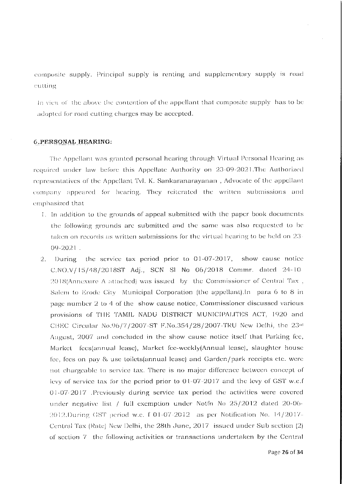composite supply. Principal supply is renting and supplementary supply is road cutting

In view of the above the contention of the appellant that composite supply has to be adopted for road cutting charges may be accepted.

# **6.PERSONAL HEARING:**

The Appellant was granted personal hearing through Virtual Personal Hearing as required under law before this Appellate Authority on 23-09-2021. The Authorized representatives of the Appellant Tvl. K. Sankaranarayanan, Advocate of the appellant company appeared for hearing. They reiterated the written submissions and emphasized that

- 1. In addition to the grounds of appeal submitted with the paper book documents the following grounds are submitted and the same was also requested to be taken on records as written submissions for the virtual hearing to be held on  $23<sup>2</sup>$ 09-2021.
- 2. During the service tax period prior to 01-07-2017, show cause notice C.NO.V/15/48/2018ST Adj., SCN Sl No 06/2018 Commr. dated 24-10-2018(Annexure A attached) was issued by the Commissioner of Central Tax, Salem to Erode City Municipal Corporation (the appellant). In para 6 to 8 in page number 2 to 4 of the show cause notice, Commissioner discussed various provisions of THE TAMIL NADU DISTRICT MUNICIPALITES ACT, 1920 and CBEC Circular No.96/7/2007-ST F.No.354/28/2007-TRU New Delhi, the 23rd August, 2007 and concluded in the show cause notice itself that Parking fee, Market fees(annual lease), Market fee-weekly(Annual lease), slaughter house fee, fees on pay & use toilets (annual lease) and Garden/park receipts etc. were not chargeable to service tax. There is no major difference between concept of levy of service tax for the period prior to  $01-07-2017$  and the levy of GST w.e.f 01-07-2017 .Previously during service tax period the activities were covered under negative list / full exemption under Notfn No 25/2012 dated 20-06-2012.During GST period w.e. f 01-07-2012 as per Notification No. 14/2017-Central Tax (Rate) New Delhi, the 28th June, 2017 issued under Sub section (2) of section 7 the following activities or transactions undertaken by the Central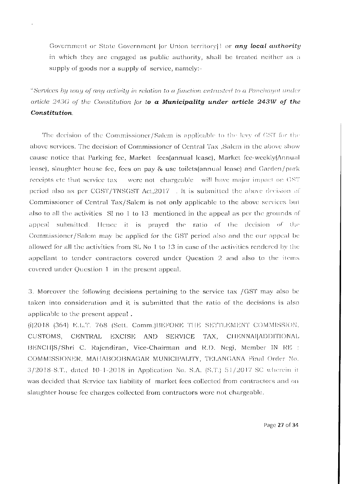Government or State Government |or Union territory|1 or any local authority in which they are engaged as public authority, shall be treated neither as a supply of goods nor a supply of service, namely:-

"Services by way of any activity in relation to a function entrusted to a Panchayat under article 243G of the Constitution for to a Municipality under article 243W of the Constitution.

The decision of the Commissioner/Salem is applicable to the levy of GST for the above services. The decision of Commissioner of Central Tax , Salem in the above show cause notice that Parking fee, Market fees(annual lease), Market fee-weekly(Annual lease), slaughter house fee, fees on pay & use toilets(annual lease) and Garden/park receipts etc that service tax were not chargeable will have major impact on GST period also as per CGST/TNSGST Act,2017 . It is submitted the above decision of Commissioner of Central Tax/Salem is not only applicable to the above services but also to all the activities. St no 1 to 13 mentioned in the appeal as per the grounds of appeal submitted. Hence it is prayed the ratio of the decision of the Commissioner/Salem may be applied for the GST period also and the our appeal be allowed for all the activities from SL No 1 to 13 in case of the activities rendered by the appellant to tender contractors covered under Question 2 and also to the items covered under Question 1 in the present appeal.

3. Moreover the following decisions pertaining to the service tax /GST may also be taken into consideration and it is submitted that the ratio of the decisions is also applicable to the present appeal.

(i)2018 (364) E.L.T. 768 (Sett. Comm.)BEFORE THE SETTLEMENT COMMISSION. CUSTOMS, CENTRAL EXCISE AND SERVICE TAX, CHENNAI[ADDITIONAL BENCH[S/Shri C. Rajendiran, Vice-Chairman and R.D. Negi, Member IN RE : COMMISSIONER, MAHABOOBNAGAR MUNICIPALITY, TELANGANA Final Order No. 3/2018-S.T., dated 10-1-2018 in Application No. S.A. (S.T.) 51/2017 SC wherein it was decided that Service tax liability of market fees collected from contractors and on slaughter house fee charges collected from contractors were not chargeable.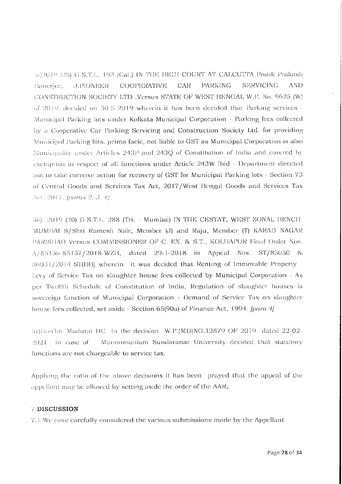(ii) 2019 (28) G.S.T.L. 193 (Cal.) IN THE HIGH COURT AT CALCUTTA Protik Prakash **COOPERATIVE** PARKING **SERVICING** AND Banerice. **J.PIONEER** CAR-CONSTRUCTION SOCIETY LTD Versus STATE OF WEST BENGAL W.P. No. 9625 (W) of 2019, decided on 30-5-2019 wherein it has been decided that Parking services -Municipal Parking lots under Kolkata Municipal Corporation - Parking fees collected by a Cooperative Car Parking Servicing and Construction Society Ltd. for providing Municipal Parking lots, prima facie, not liable to GST as Municipal Corporation is also Municipality under Articles 243P and 243Q of Constitution of India and covered by exemption in respect of all functions under Article 243W ibid - Department directed not to take coercive action for recovery of GST for Municipal Parking lots - Section 73 of Central Goods and Scrvices Tax Act, 2017/West Bengal Goods and Scrvices Tax Act. 2017. [paras 2, 3, 4]

(iii), 2019 (20) G.S.T.L. 288 (Tri. - Mumbai) IN THE CESTAT, WEST ZONAL BENCH. MUMBAI S/Shri Ramesh Nair, Member (J) and Raju, Member (T) KARAD NAGAR PARISHAD Versus COMMISSIONER OF C. EX. & S.T., KOLHAPUR Final Order Nos.  $A/85156-85157/2018-WZB$ , dated 29-1-2018 in Appeal Nos. ST/85050 & 86031/2014-ST(DB) wherein it was decided that Renting of Immovable Property Levy of Service Tax on slaughter house fees collected by Municipal Corporation - As per Twelfth Schedule of Constitution of India, Regulation of slaughter houses is sovereign function of Municipal Corporation - Demand of Service Tax on slaughter house fees collected, set aside - Section 65(90a) of Finance Act, 1994. [para 4]

(iv)Hon'ble Madurai HC in the decision W.P.(MD)NO.12879 OF 2019 dated 22-02- $2021$  in case of Manonmaniam Sundaranar University decided that statutory functions are not chargeable to service tax.

Applying the ratio of the above decisions it has been prayed that the appeal of the appellant may be allowed by setting aside the order of the AAR.

# **7 DISCUSSION**

7.1 We have carefully considered the various submissions made by the Appellant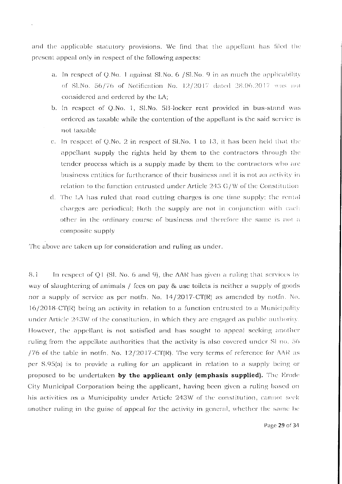and the applicable statutory provisions. We find that the appellant has filed the present appeal only in respect of the following aspects:

- a. In respect of Q.No. 1 against Sl.No. 6 / Sl.No. 9 in as much the applicability of SLNo. 56/76 of Notification No. 12/2017 dated 28.06.2017 was not considered and ordered by the  $LA$ ;
- b. In respect of Q.No. 1, Sl.No. 5B-locker rent provided in bus-stand was ordered as taxable while the contention of the appellant is the said service is not taxable
- c. In respect of Q.No. 2 in respect of SLNo. I to 13, it has been held that the appellant supply the rights held by them to the contractors through the tender process which is a supply made by them to the contractors who are business entities for furtherance of their business and it is not an activity in relation to the function entrusted under Article 243 G/W of the Constitution
- d. The LA has ruled that road cutting charges is one time supply; the rental charges are periodical; Both the supply are not in conjunction with each other in the ordinary course of business and therefore the same is not a composite supply

The above are taken up for consideration and ruling as under.

8.1 In respect of Q1 (Sl. No. 6 and 9), the AAR has given a ruling that services by way of slaughtering of animals / fees on pay & use toilets is neither a supply of goods nor a supply of service as per notfn. No. 14/2017-CT(R) as amended by notfn. No. 16/2018-CT(R) being an activity in relation to a function entrusted to a Municipality under Article 243W of the constitution, in which they are engaged as public authority. However, the appellant is not satisfied and has sought to appeal seeking another ruling from the appellate authorities that the activity is also covered under SI no. 56 /76 of the table in notfn. No.  $12/2017$ -CT(R). The very terms of reference for AAR as per S.95(a) is to provide a ruling for an applicant in relation to a supply being or proposed to be undertaken by the applicant only (emphasis supplied). The Erode City Municipal Corporation being the applicant, having been given a ruling based on his activities as a Municipality under Article 243W of the constitution, cannot seek another ruling in the guise of appeal for the activity in general, whether the same be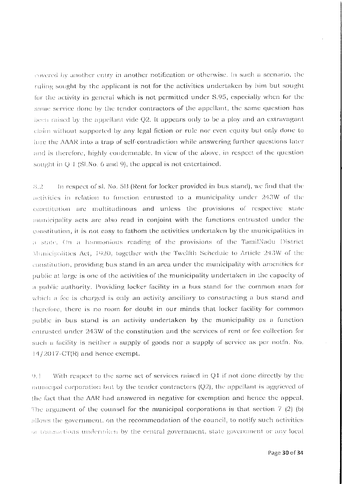covered by another entry in another notification or otherwise. In such a scenario, the ruling sought by the applicant is not for the activities undertaken by him but sought for the activity in general which is not permitted under S.95, especially when for the same service done by the tender contractors of the appellant, the same question has been raised by the appellant vide Q2. It appears only to be a ploy and an extravagant claim without supported by any legal fiction or rule nor even equity but only done to lure the AAAR into a trap of self-contradiction while answering further questions later and is therefore, highly condemnable. In view of the above, in respect of the question sought in  $Q$  1 (Sl.No. 6 and 9), the appeal is not entertained.

In respect of sl. No. 5B (Rent for locker provided in bus stand), we find that the  $8.2$ activities in relation to function entrusted to a municipality under 243W of the constitution are multitudinous and unless the provisions of respective state municipality acts are also read in conjoint with the functions entrusted under the constitution, it is not easy to fathom the activities undertaken by the municipalities in a state. On a harmonious reading of the provisions of the TamilNadu District Municipalities Act, 1920, together with the Twelfth Schedule to Article 243W of the constitution, providing bus stand in an area under the municipality with amenities for public at large is one of the activities of the municipality undertaken in the capacity of a public authority. Providing locker facility in a bus stand for the common man for which a fee is charged is only an activity anciliary to constructing a bus stand and therefore, there is no room for doubt in our minds that locker facility for common public in bus stand is an activity undertaken by the municipality as a function entrusted under 243W of the constitution and the services of rent or fee collection for such a facility is neither a supply of goods nor a supply of service as per notfn. No.  $14/2017$ -CT(R) and hence exempt.

With respect to the same set of services raised in Q1 if not done directly by the  $Q_{1}$ municipal corporation but by the tender contractors  $(Q2)$ , the appellant is aggrieved of the fact that the AAR had answered in negative for exemption and hence the appeal. The argument of the counsel for the municipal corporations is that section  $7(2)(b)$ allows the government, on the recommendation of the council, to notify such activities or transactions undertaken by the central government, state government or any local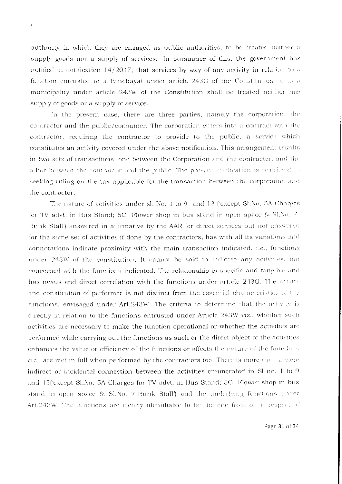authority in which they are engaged as public authorities, to be treated neither a supply goods nor a supply of services. In pursuance of this, the government has notified in notification 14/2017, that services by way of any activity in relation to a function entrusted to a Panchayat under article 243G of the Constitution or to a municipality under article 243W of the Constitution shall be treated neither has supply of goods or a supply of service.

 $\ddot{\phantom{0}}$ 

In the present case, there are three parties, namely the corporation, the contractor and the public/consumer. The corporation enters into a contract with the contractor, requiring the contractor to provide to the public, a service which constitutes an activity covered under the above notification. This arrangement results in two sets of transactions, one between the Corporation and the contractor, and the other between the contractor and the public. The present application is restricted to seeking ruling on the tax applicable for the transaction between the corporation and the contractor.

The nature of activities under sl. No. 1 to 9 and 13 ('except Sl.No. 5A Charges' for TV advt. in Bus Stand; 5C- Flower shop in bus stand in open space & SLNo. 7 Bunk Stall') answered in affirmative by the AAR for direct services but not answered for the same set of activities if done by the contractors, has with all its variations and connotations indicate proximity with the main transaction indicated, i.e., functions under 243W of the constitution. It cannot be said to indicate any activities, not concerned with the functions indicated. The relationship is specific and tangible and has nexus and direct correlation with the functions under article 243G. The nature and constitution of performer is not distinct from the essential characteristics of the functions, envisaged under Art.243W. The criteria to determine that the activity is directly in relation to the functions entrusted under Article 243W viz., whether such activities are necessary to make the function operational or whether the activities are performed while carrying out the functions as such or the direct object of the activities enhances the value or efficiency of the functions or affects the nature of the functions etc., are met in full when performed by the contractors too. There is more than a mere indirect or incidental connection between the activities enumerated in SI no. 1 to 9 and 13('except Sl.No. 5A-Charges for TV advt. in Bus Stand; 5C- Flower shop in bus stand in open space & SLNo. 7 Bunk Stall') and the underlying functions under Art.243W. The functions are clearly identifiable to be the one from or in respect of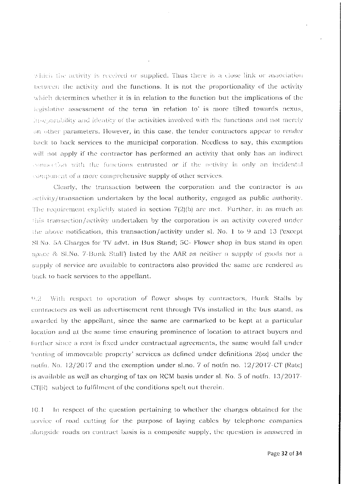which the activity is received or supplied. Thus there is a close link or association between the activity and the functions. It is not the proportionality of the activity which determines whether it is in relation to the function but the implications of the legislative assessment of the term 'in relation to' is more tilted towards nexus, inseparability and identity of the activities involved with the functions and not merely on other parameters. However, in this case, the tender contractors appear to render back to back services to the municipal corporation. Needless to say, this exemption will not apply if the contractor has performed an activity that only has an indirect connection with the functions entrusted or if the activity is only an incidental component of a more comprehensive supply of other services.

Clearly, the transaction between the corporation and the contractor is an activity/transaction undertaken by the local authority, engaged as public authority. The requirement explicitly stated in section  $7(2)(b)$  are met. Further, in as much as  $\pm$ his transaction/activity undertaken by the corporation is an activity covered under the above notification, this transaction/activity under sl. No. 1 to 9 and 13 ('except SLNo. 5A Charges for TV advt. in Bus Stand; 5C- Flower shop in bus stand in open space & SLNo. 7-Bunk Stall') listed by the AAR as neither a supply of goods nor a supply of service are available to contractors also provided the same are rendered as back to back services to the appellant.

 $Q_{12}$ With respect to operation of flower shops by contractors, Bunk Stalls by contractors as well as advertisement rent through TVs installed in the bus stand, as awarded by the appellant, since the same are earmarked to be kept at a particular location and at the same time ensuring prominence of location to attract buyers and further since a rent is fixed under contractual agreements, the same would fall under 'renting of immoveable property' services as defined under definitions 2(zz) under the notin. No. 12/2017 and the exemption under sl.no. 7 of notin no. 12/2017-CT (Rate) is available as well as charging of tax on RCM basis under sl. No. 5 of notfn. 13/2017-CT(R) subject to fulfilment of the conditions spelt out therein.

 $10.1$ In respect of the question pertaining to whether the charges obtained for the service of road cutting for the purpose of laying cables by telephone companies alongside roads on contract basis is a composite supply, the question is answered in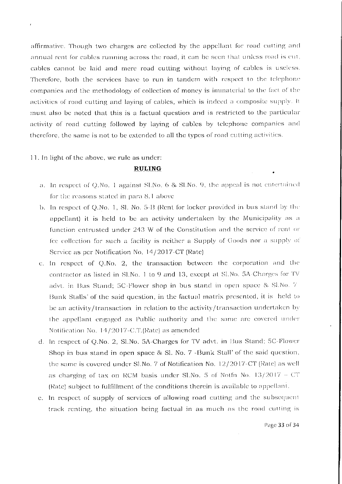affirmative. Though two charges are collected by the appellant for road cutting and annual rent for cables running across the road, it can be seen that unless road is cut. cables cannot be laid and mere road cutting without laying of cables is useless. Therefore, both the services have to run in tandem with respect to the telephone companies and the methodology of collection of money is immaterial to the fact of the activities of road cutting and laying of cables, which is indeed a composite supply. It must also be noted that this is a factual question and is restricted to the particular activity of road cutting followed by laying of cables by telephone companies and therefore, the same is not to be extended to all the types of road cutting activities.

11. In light of the above, we rule as under:

 $\epsilon$ 

# **RULING**

- a. In respect of Q.No. 1 against Sl.No. 6 & Sl.No. 9, the appeal is not entertained for the reasons stated in para 8.1 above
- b. In respect of Q.No. 1, Sl. No. 5-B (Rent for locker provided in bus stand by the appellant) it is held to be an activity undertaken by the Municipality as a function entrusted under 243 W of the Constitution and the service of rent or fee collection for such a facility is neither a Supply of Goods nor a supply of Service as per Notification No. 14/2017-CT (Rate)
- c. In respect of Q.No. 2, the transaction between the corporation and the contractor as listed in Sl.No. 1 to 9 and 13, except at Sl.No. 5A-Charges for TV advt. in Bus Stand; 5C-Flower shop in bus stand in open space & SLNo. 7 Bunk Stalls' of the said question, in the factual matrix presented, it is held to be an activity/transaction in relation to the activity/transaction undertaken by the appellant engaged as Public authority and the same are covered under Notification No. 14/2017-C.T.(Rate) as amended
- d. In respect of Q.No. 2, SLNo. 5A-Charges for TV advt. in Bus Stand; 5C-Flower Shop in bus stand in open space & Sl. No. 7 -Bunk Stall' of the said question, the same is covered under Sl.No. 7 of Notification No. 12/2017-CT (Rate) as well as charging of tax on RCM basis under Sl.No. 5 of Notfn No.  $13/2017 - CT$ (Rate) subject to fulfillment of the conditions therein is available to appellant.
- e. In respect of supply of services of allowing road cutting and the subsequent track renting, the situation being factual in as much as the road cutting is